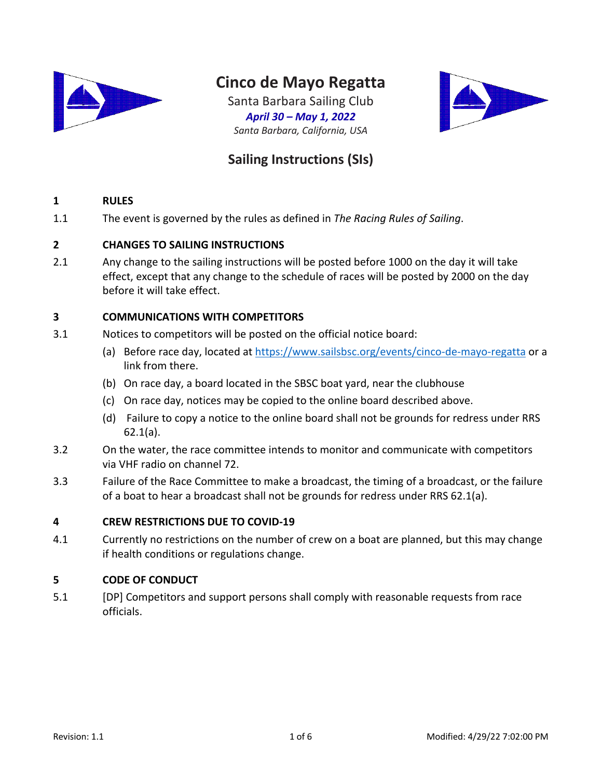

# **Cinco de Mayo Regatta**

Santa Barbara Sailing Club *April 30 – May 1, 2022 Santa Barbara, California, USA*



## **Sailing Instructions (SIs)**

#### **1 RULES**

1.1 The event is governed by the rules as defined in *The Racing Rules of Sailing*.

#### **2 CHANGES TO SAILING INSTRUCTIONS**

2.1 Any change to the sailing instructions will be posted before 1000 on the day it will take effect, except that any change to the schedule of races will be posted by 2000 on the day before it will take effect.

### **3 COMMUNICATIONS WITH COMPETITORS**

- 3.1 Notices to competitors will be posted on the official notice board:
	- (a) Before race day, located at https://www.sailsbsc.org/events/cinco-de-mayo-regatta or a link from there.
	- (b) On race day, a board located in the SBSC boat yard, near the clubhouse
	- (c) On race day, notices may be copied to the online board described above.
	- (d) Failure to copy a notice to the online board shall not be grounds for redress under RRS 62.1(a).
- 3.2 On the water, the race committee intends to monitor and communicate with competitors via VHF radio on channel 72.
- 3.3 Failure of the Race Committee to make a broadcast, the timing of a broadcast, or the failure of a boat to hear a broadcast shall not be grounds for redress under RRS 62.1(a).

#### **4 CREW RESTRICTIONS DUE TO COVID-19**

4.1 Currently no restrictions on the number of crew on a boat are planned, but this may change if health conditions or regulations change.

#### **5 CODE OF CONDUCT**

5.1 [DP] Competitors and support persons shall comply with reasonable requests from race officials.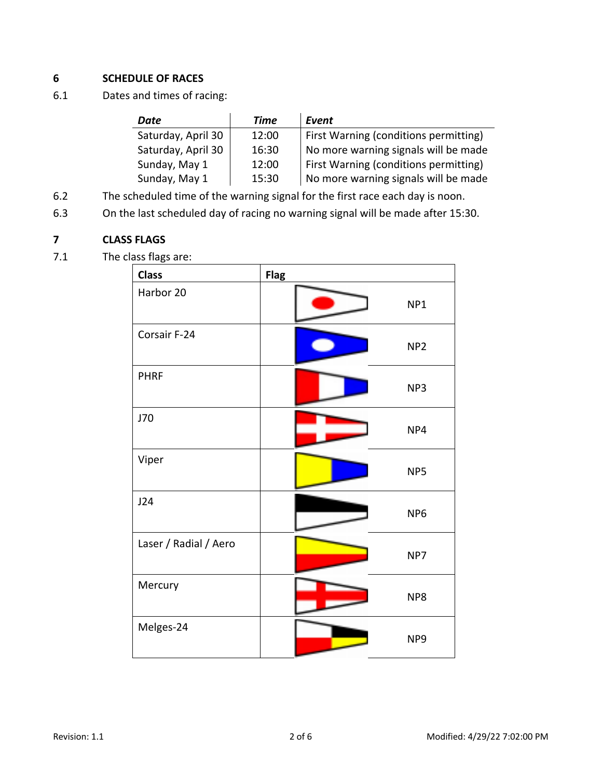## **6 SCHEDULE OF RACES**

6.1 Dates and times of racing:

| Date               | Time  | Event                                        |
|--------------------|-------|----------------------------------------------|
| Saturday, April 30 | 12:00 | <b>First Warning (conditions permitting)</b> |
| Saturday, April 30 | 16:30 | No more warning signals will be made         |
| Sunday, May 1      | 12:00 | First Warning (conditions permitting)        |
| Sunday, May 1      | 15:30 | No more warning signals will be made         |

- 6.2 The scheduled time of the warning signal for the first race each day is noon.
- 6.3 On the last scheduled day of racing no warning signal will be made after 15:30.

## **7 CLASS FLAGS**

7.1 The class flags are:

| <b>Class</b>          | <b>Flag</b>     |
|-----------------------|-----------------|
| Harbor 20             | NP1             |
| Corsair F-24          | NP <sub>2</sub> |
| <b>PHRF</b>           | NP3             |
| J70                   | NP4             |
| Viper                 | NP5             |
| J24                   | NP <sub>6</sub> |
| Laser / Radial / Aero | NP7             |
| Mercury               | NP8             |
| Melges-24             | NP <sub>9</sub> |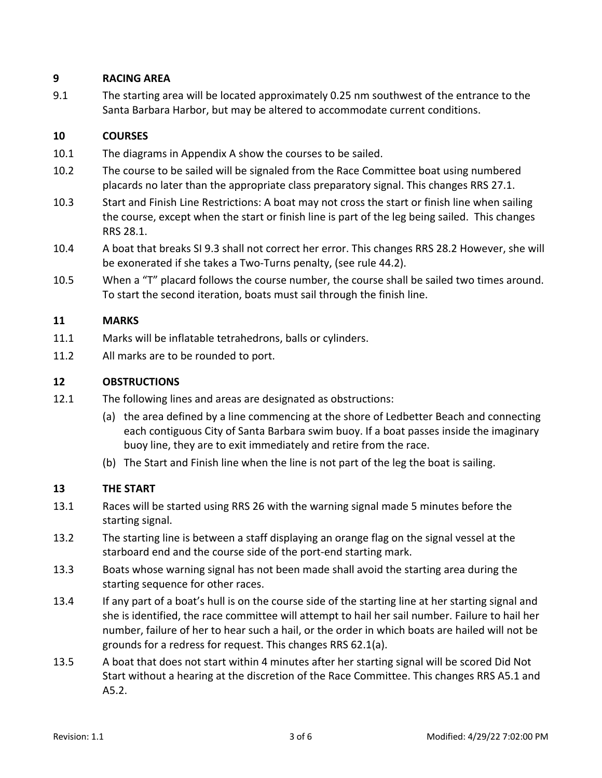## **9 RACING AREA**

9.1 The starting area will be located approximately 0.25 nm southwest of the entrance to the Santa Barbara Harbor, but may be altered to accommodate current conditions.

## **10 COURSES**

- 10.1 The diagrams in Appendix A show the courses to be sailed.
- 10.2 The course to be sailed will be signaled from the Race Committee boat using numbered placards no later than the appropriate class preparatory signal. This changes RRS 27.1.
- 10.3 Start and Finish Line Restrictions: A boat may not cross the start or finish line when sailing the course, except when the start or finish line is part of the leg being sailed. This changes RRS 28.1.
- 10.4 A boat that breaks SI 9.3 shall not correct her error. This changes RRS 28.2 However, she will be exonerated if she takes a Two-Turns penalty, (see rule 44.2).
- 10.5 When a "T" placard follows the course number, the course shall be sailed two times around. To start the second iteration, boats must sail through the finish line.

## **11 MARKS**

- 11.1 Marks will be inflatable tetrahedrons, balls or cylinders.
- 11.2 All marks are to be rounded to port.

## **12 OBSTRUCTIONS**

- 12.1 The following lines and areas are designated as obstructions:
	- (a) the area defined by a line commencing at the shore of Ledbetter Beach and connecting each contiguous City of Santa Barbara swim buoy. If a boat passes inside the imaginary buoy line, they are to exit immediately and retire from the race.
	- (b) The Start and Finish line when the line is not part of the leg the boat is sailing.

## **13 THE START**

- 13.1 Races will be started using RRS 26 with the warning signal made 5 minutes before the starting signal.
- 13.2 The starting line is between a staff displaying an orange flag on the signal vessel at the starboard end and the course side of the port-end starting mark.
- 13.3 Boats whose warning signal has not been made shall avoid the starting area during the starting sequence for other races.
- 13.4 If any part of a boat's hull is on the course side of the starting line at her starting signal and she is identified, the race committee will attempt to hail her sail number. Failure to hail her number, failure of her to hear such a hail, or the order in which boats are hailed will not be grounds for a redress for request. This changes RRS 62.1(a).
- 13.5 A boat that does not start within 4 minutes after her starting signal will be scored Did Not Start without a hearing at the discretion of the Race Committee. This changes RRS A5.1 and A5.2.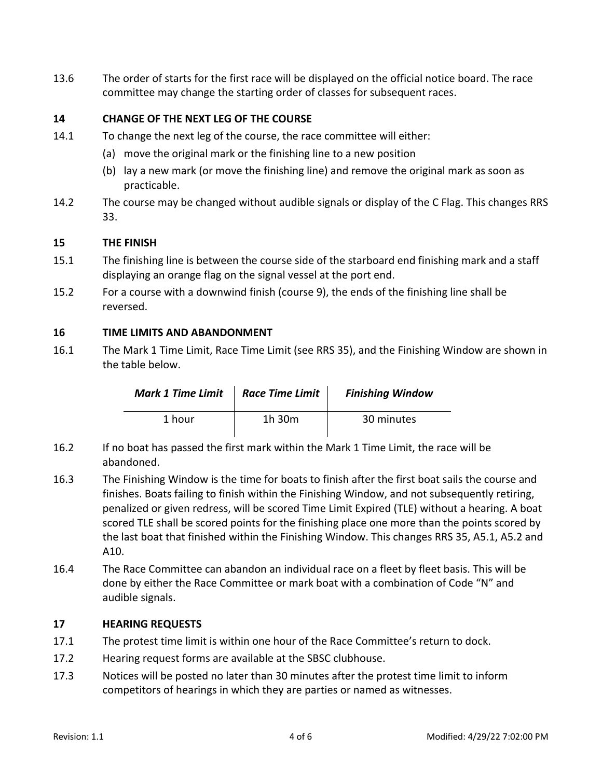13.6 The order of starts for the first race will be displayed on the official notice board. The race committee may change the starting order of classes for subsequent races.

## **14 CHANGE OF THE NEXT LEG OF THE COURSE**

- 14.1 To change the next leg of the course, the race committee will either:
	- (a) move the original mark or the finishing line to a new position
	- (b) lay a new mark (or move the finishing line) and remove the original mark as soon as practicable.
- 14.2 The course may be changed without audible signals or display of the C Flag. This changes RRS 33.

#### **15 THE FINISH**

- 15.1 The finishing line is between the course side of the starboard end finishing mark and a staff displaying an orange flag on the signal vessel at the port end.
- 15.2 For a course with a downwind finish (course 9), the ends of the finishing line shall be reversed.

#### **16 TIME LIMITS AND ABANDONMENT**

16.1 The Mark 1 Time Limit, Race Time Limit (see RRS 35), and the Finishing Window are shown in the table below.

| <b>Mark 1 Time Limit</b> | Race Time Limit | <b>Finishing Window</b> |
|--------------------------|-----------------|-------------------------|
| 1 hour                   | 1h 30m          | 30 minutes              |

- 16.2 If no boat has passed the first mark within the Mark 1 Time Limit, the race will be abandoned.
- 16.3 The Finishing Window is the time for boats to finish after the first boat sails the course and finishes. Boats failing to finish within the Finishing Window, and not subsequently retiring, penalized or given redress, will be scored Time Limit Expired (TLE) without a hearing. A boat scored TLE shall be scored points for the finishing place one more than the points scored by the last boat that finished within the Finishing Window. This changes RRS 35, A5.1, A5.2 and A10.
- 16.4 The Race Committee can abandon an individual race on a fleet by fleet basis. This will be done by either the Race Committee or mark boat with a combination of Code "N" and audible signals.

#### **17 HEARING REQUESTS**

- 17.1 The protest time limit is within one hour of the Race Committee's return to dock.
- 17.2 Hearing request forms are available at the SBSC clubhouse.
- 17.3 Notices will be posted no later than 30 minutes after the protest time limit to inform competitors of hearings in which they are parties or named as witnesses.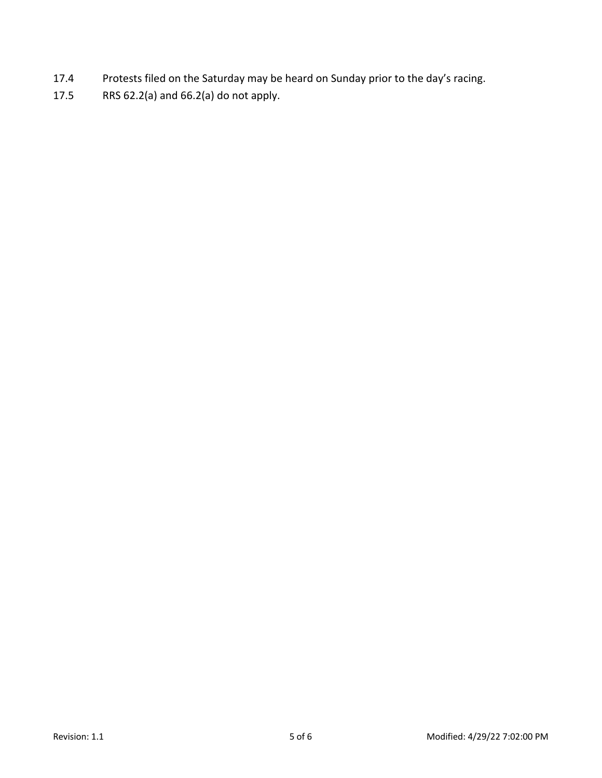- 17.4 Protests filed on the Saturday may be heard on Sunday prior to the day's racing.
- 17.5 RRS 62.2(a) and 66.2(a) do not apply.